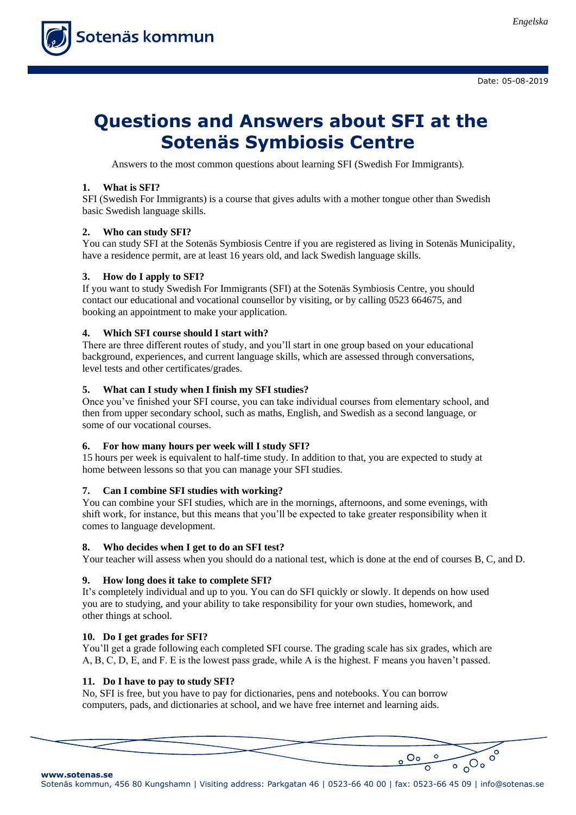

Date: 05-08-2019

# **Questions and Answers about SFI at the Sotenäs Symbiosis Centre**

Answers to the most common questions about learning SFI (Swedish For Immigrants).

# **1. What is SFI?**

SFI (Swedish For Immigrants) is a course that gives adults with a mother tongue other than Swedish basic Swedish language skills.

# **2. Who can study SFI?**

You can study SFI at the Sotenäs Symbiosis Centre if you are registered as living in Sotenäs Municipality, have a residence permit, are at least 16 years old, and lack Swedish language skills.

# **3. How do I apply to SFI?**

If you want to study Swedish For Immigrants (SFI) at the Sotenäs Symbiosis Centre, you should contact our educational and vocational counsellor by visiting, or by calling 0523 664675, and booking an appointment to make your application.

# **4. Which SFI course should I start with?**

There are three different routes of study, and you'll start in one group based on your educational background, experiences, and current language skills, which are assessed through conversations, level tests and other certificates/grades.

# **5. What can I study when I finish my SFI studies?**

Once you've finished your SFI course, you can take individual courses from elementary school, and then from upper secondary school, such as maths, English, and Swedish as a second language, or some of our vocational courses.

## **6. For how many hours per week will I study SFI?**

15 hours per week is equivalent to half-time study. In addition to that, you are expected to study at home between lessons so that you can manage your SFI studies.

## **7. Can I combine SFI studies with working?**

You can combine your SFI studies, which are in the mornings, afternoons, and some evenings, with shift work, for instance, but this means that you'll be expected to take greater responsibility when it comes to language development.

## **8. Who decides when I get to do an SFI test?**

Your teacher will assess when you should do a national test, which is done at the end of courses B, C, and D.

## **9. How long does it take to complete SFI?**

It's completely individual and up to you. You can do SFI quickly or slowly. It depends on how used you are to studying, and your ability to take responsibility for your own studies, homework, and other things at school.

## **10. Do I get grades for SFI?**

**www.sotenas.se**

You'll get a grade following each completed SFI course. The grading scale has six grades, which are A, B, C, D, E, and F. E is the lowest pass grade, while A is the highest. F means you haven't passed.

## **11. Do I have to pay to study SFI?**

No, SFI is free, but you have to pay for dictionaries, pens and notebooks. You can borrow computers, pads, and dictionaries at school, and we have free internet and learning aids.

 $\frac{0.0000}{0}$